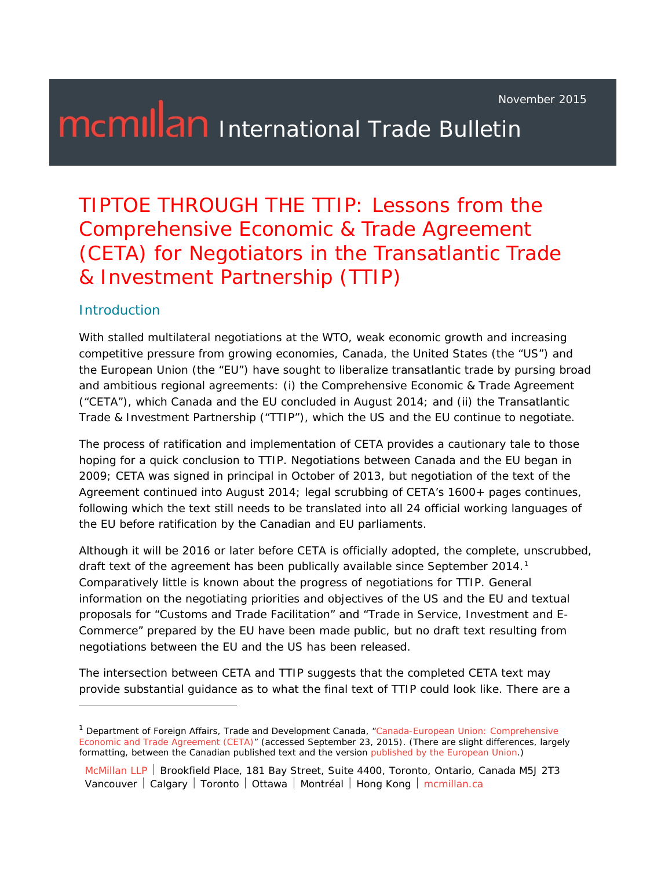November 2015

# **McMILan** International Trade Bulletin

### TIPTOE THROUGH THE TTIP: Lessons from the Comprehensive Economic & Trade Agreement (CETA) for Negotiators in the Transatlantic Trade & Investment Partnership (TTIP)

#### **Introduction**

i,

With stalled multilateral negotiations at the WTO, weak economic growth and increasing competitive pressure from growing economies, Canada, the United States (the "US") and the European Union (the "EU") have sought to liberalize transatlantic trade by pursing broad and ambitious regional agreements: (i) the Comprehensive Economic & Trade Agreement ("CETA"), which Canada and the EU concluded in August 2014; and (ii) the Transatlantic Trade & Investment Partnership ("TTIP"), which the US and the EU continue to negotiate.

The process of ratification and implementation of CETA provides a cautionary tale to those hoping for a quick conclusion to TTIP. Negotiations between Canada and the EU began in 2009; CETA was signed in principal in October of 2013, but negotiation of the text of the Agreement continued into August 2014; legal scrubbing of CETA's 1600+ pages continues, following which the text still needs to be translated into all 24 official working languages of the EU before ratification by the Canadian and EU parliaments.

Although it will be 2016 or later before CETA is officially adopted, the complete, unscrubbed, draft text of the agreement has been publically available since September 20[1](#page-0-0)4.<sup>1</sup> Comparatively little is known about the progress of negotiations for TTIP. General information on the negotiating priorities and objectives of the US and the EU and textual proposals for "Customs and Trade Facilitation" and "Trade in Service, Investment and E-Commerce" prepared by the EU have been made public, but no draft text resulting from negotiations between the EU and the US has been released.

The intersection between CETA and TTIP suggests that the completed CETA text may provide substantial guidance as to what the final text of TTIP could look like. There are a

<span id="page-0-0"></span><sup>1</sup> Department of Foreign Affairs, Trade and Development Canada, "*[Canada-European Union: Comprehensive](http://www.international.gc.ca/trade-agreements-accords-commerciaux/agr-acc/ceta-aecg/text-texte/toc-tdm.aspx?lang=eng)  [Economic and Trade Agreement \(CETA\)](http://www.international.gc.ca/trade-agreements-accords-commerciaux/agr-acc/ceta-aecg/text-texte/toc-tdm.aspx?lang=eng)*" (accessed September 23, 2015). (There are slight differences, largely formatting, between the Canadian published text and the version *[published by the European Union](http://trade.ec.europa.eu/doclib/docs/2014/september/tradoc_152806.pdf)*.)

McMillan LLP | Brookfield Place, 181 Bay Street, Suite 4400, Toronto, Ontario, Canada M5J 2T3 Vancouver | Calgary | Toronto | Ottawa | Montréal | Hong Kong | mcmillan.ca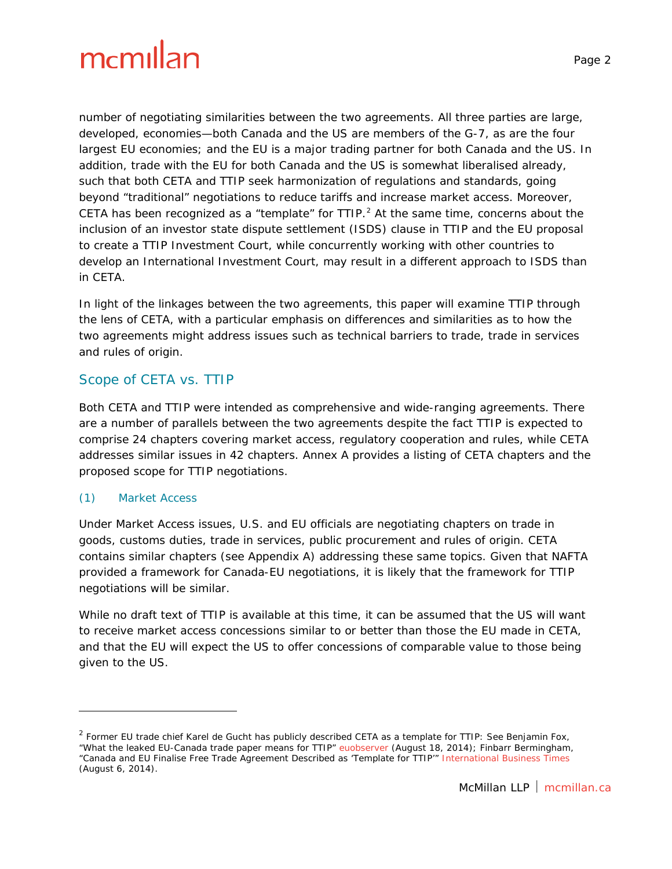number of negotiating similarities between the two agreements. All three parties are large, developed, economies—both Canada and the US are members of the G-7, as are the four largest EU economies; and the EU is a major trading partner for both Canada and the US. In addition, trade with the EU for both Canada and the US is somewhat liberalised already, such that both CETA and TTIP seek harmonization of regulations and standards, going beyond "traditional" negotiations to reduce tariffs and increase market access. Moreover, CETA has been recognized as a "template" for  $TIP.<sup>2</sup>$  $TIP.<sup>2</sup>$  $TIP.<sup>2</sup>$  At the same time, concerns about the inclusion of an investor state dispute settlement (ISDS) clause in TTIP and the EU proposal to create a TTIP Investment Court, while concurrently working with other countries to develop an International Investment Court, may result in a different approach to ISDS than in CETA.

In light of the linkages between the two agreements, this paper will examine TTIP through the lens of CETA, with a particular emphasis on differences and similarities as to how the two agreements might address issues such as technical barriers to trade, trade in services and rules of origin.

#### Scope of CETA vs. TTIP

Both CETA and TTIP were intended as comprehensive and wide-ranging agreements. There are a number of parallels between the two agreements despite the fact TTIP is expected to comprise 24 chapters covering market access, regulatory cooperation and rules, while CETA addresses similar issues in 42 chapters. Annex A provides a listing of CETA chapters and the proposed scope for TTIP negotiations.

#### *(1) Market Access*

i,

Under Market Access issues, U.S. and EU officials are negotiating chapters on trade in goods, customs duties, trade in services, public procurement and rules of origin. CETA contains similar chapters (see Appendix A) addressing these same topics. Given that *NAFTA* provided a framework for Canada-EU negotiations, it is likely that the framework for TTIP negotiations will be similar.

While no draft text of TTIP is available at this time, it can be assumed that the US will want to receive market access concessions similar to or better than those the EU made in CETA, and that the EU will expect the US to offer concessions of comparable value to those being given to the US.

<span id="page-1-0"></span><sup>&</sup>lt;sup>2</sup> Former EU trade chief Karel de Gucht has publicly described CETA as a template for TTIP: See Benjamin Fox, "What the leaked EU-Canada trade paper means for TTIP" *[euobserver](https://euobserver.com/)* (August 18, 2014); Finbarr Bermingham, "Canada and EU Finalise Free Trade Agreement Described as 'Template for TTIP'" *[International Business Times](http://www.ibtimes.co.uk/)* (August 6, 2014).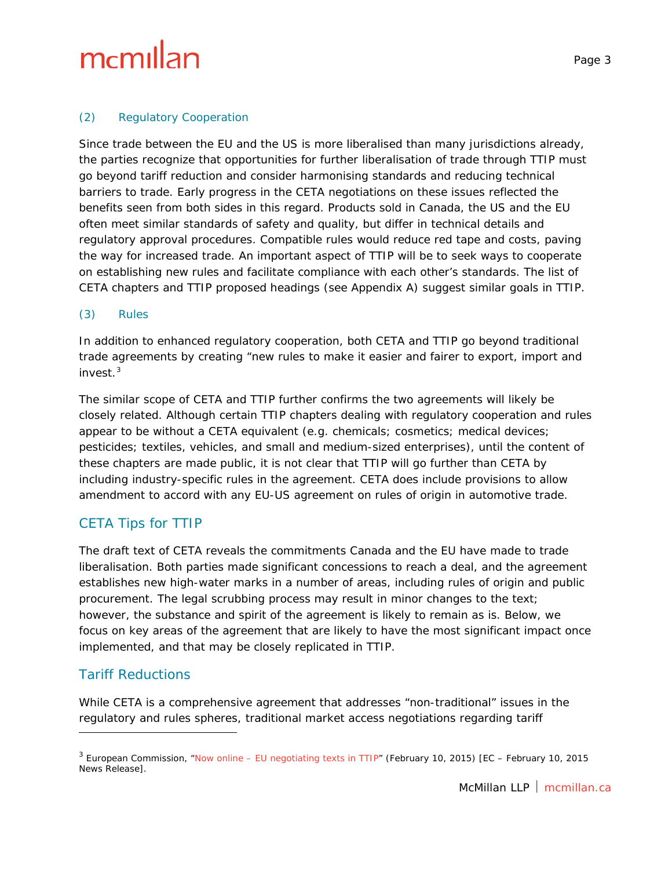Since trade between the EU and the US is more liberalised than many jurisdictions already, the parties recognize that opportunities for further liberalisation of trade through TTIP must go beyond tariff reduction and consider harmonising standards and reducing technical barriers to trade. Early progress in the CETA negotiations on these issues reflected the benefits seen from both sides in this regard. Products sold in Canada, the US and the EU often meet similar standards of safety and quality, but differ in technical details and regulatory approval procedures. Compatible rules would reduce red tape and costs, paving the way for increased trade. An important aspect of TTIP will be to seek ways to cooperate on establishing new rules and facilitate compliance with each other's standards. The list of CETA chapters and TTIP proposed headings (see Appendix A) suggest similar goals in TTIP.

#### *(3) Rules*

In addition to enhanced regulatory cooperation, both CETA and TTIP go beyond traditional trade agreements by creating "new rules to make it easier and fairer to export, import and invest. $^3$  $^3$ 

The similar scope of CETA and TTIP further confirms the two agreements will likely be closely related. Although certain TTIP chapters dealing with regulatory cooperation and rules appear to be without a CETA equivalent (e.g. chemicals; cosmetics; medical devices; pesticides; textiles, vehicles, and small and medium-sized enterprises), until the content of these chapters are made public, it is not clear that TTIP will go further than CETA by including industry-specific rules in the agreement. CETA does include provisions to allow amendment to accord with any EU-US agreement on rules of origin in automotive trade.

#### CETA Tips for TTIP

The draft text of CETA reveals the commitments Canada and the EU have made to trade liberalisation. Both parties made significant concessions to reach a deal, and the agreement establishes new high-water marks in a number of areas, including rules of origin and public procurement. The legal scrubbing process may result in minor changes to the text; however, the substance and spirit of the agreement is likely to remain as is. Below, we focus on key areas of the agreement that are likely to have the most significant impact once implemented, and that may be closely replicated in TTIP.

#### Tariff Reductions

i,

While CETA is a comprehensive agreement that addresses "non-traditional" issues in the regulatory and rules spheres, traditional market access negotiations regarding tariff

<span id="page-2-0"></span><sup>3</sup> European Commission, "*Now online – [EU negotiating texts in TTIP](http://trade.ec.europa.eu/doclib/press/index.cfm?id=1230)*" (February 10, 2015) [EC – February 10, 2015 News Release].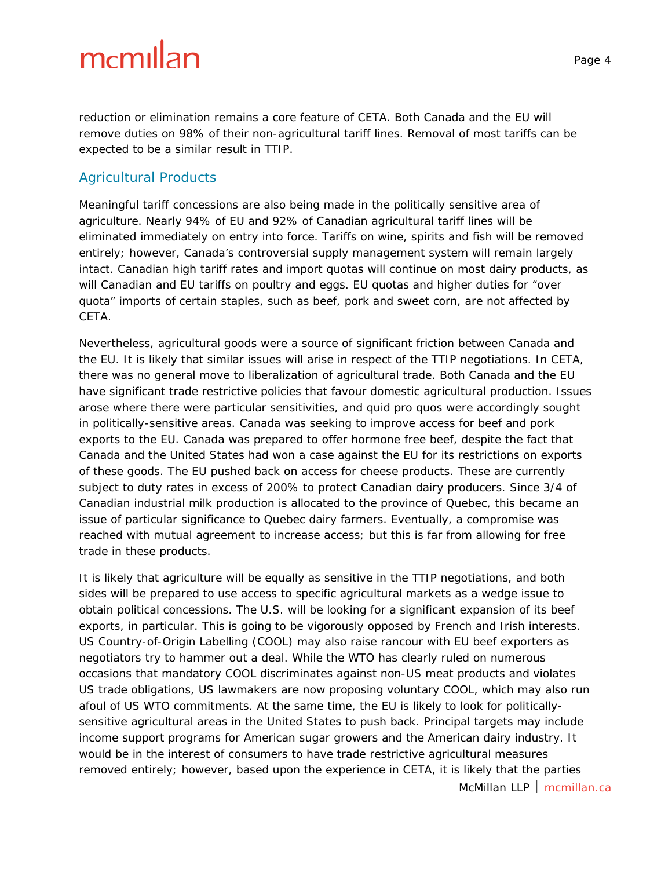reduction or elimination remains a core feature of CETA. Both Canada and the EU will remove duties on 98% of their non-agricultural tariff lines. Removal of most tariffs can be expected to be a similar result in TTIP.

#### Agricultural Products

Meaningful tariff concessions are also being made in the politically sensitive area of agriculture. Nearly 94% of EU and 92% of Canadian agricultural tariff lines will be eliminated immediately on entry into force. Tariffs on wine, spirits and fish will be removed entirely; however, Canada's controversial supply management system will remain largely intact. Canadian high tariff rates and import quotas will continue on most dairy products, as will Canadian and EU tariffs on poultry and eggs. EU quotas and higher duties for "over quota" imports of certain staples, such as beef, pork and sweet corn, are not affected by CETA.

Nevertheless, agricultural goods were a source of significant friction between Canada and the EU. It is likely that similar issues will arise in respect of the TTIP negotiations. In CETA, there was no general move to liberalization of agricultural trade. Both Canada and the EU have significant trade restrictive policies that favour domestic agricultural production. Issues arose where there were particular sensitivities, and *quid pro quos* were accordingly sought in politically-sensitive areas. Canada was seeking to improve access for beef and pork exports to the EU. Canada was prepared to offer hormone free beef, despite the fact that Canada and the United States had won a case against the EU for its restrictions on exports of these goods. The EU pushed back on access for cheese products. These are currently subject to duty rates in excess of 200% to protect Canadian dairy producers. Since 3/4 of Canadian industrial milk production is allocated to the province of Quebec, this became an issue of particular significance to Quebec dairy farmers. Eventually, a compromise was reached with mutual agreement to increase access; but this is far from allowing for free trade in these products.

It is likely that agriculture will be equally as sensitive in the TTIP negotiations, and both sides will be prepared to use access to specific agricultural markets as a wedge issue to obtain political concessions. The U.S. will be looking for a significant expansion of its beef exports, in particular. This is going to be vigorously opposed by French and Irish interests. US Country-of-Origin Labelling (COOL) may also raise rancour with EU beef exporters as negotiators try to hammer out a deal. While the WTO has clearly ruled on numerous occasions that mandatory COOL discriminates against non-US meat products and violates US trade obligations, US lawmakers are now proposing voluntary COOL, which may also run afoul of US WTO commitments. At the same time, the EU is likely to look for politicallysensitive agricultural areas in the United States to push back. Principal targets may include income support programs for American sugar growers and the American dairy industry. It would be in the interest of consumers to have trade restrictive agricultural measures removed entirely; however, based upon the experience in CETA, it is likely that the parties

McMillan LLP  $\vert$  mcmillan.ca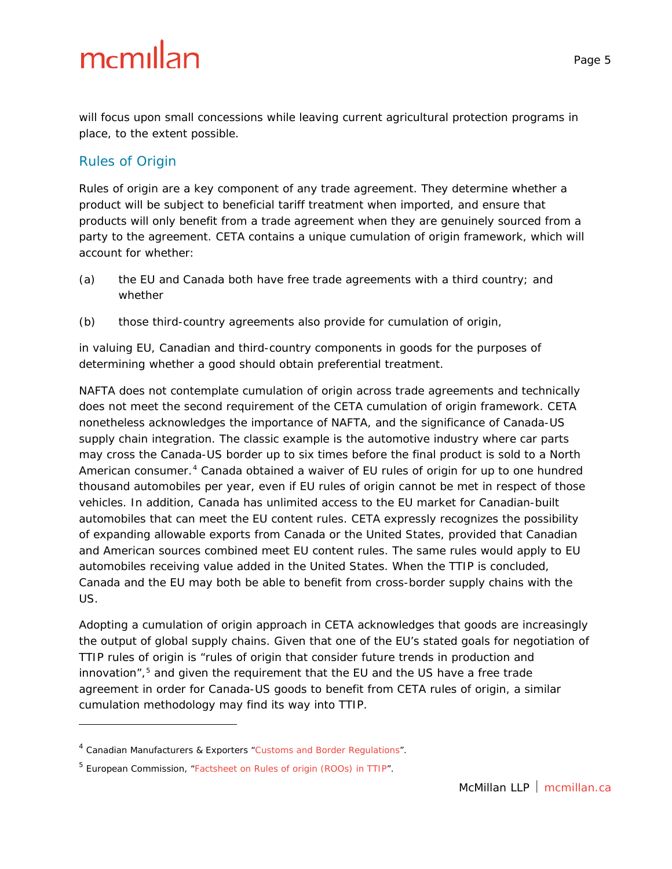will focus upon small concessions while leaving current agricultural protection programs in place, to the extent possible.

#### Rules of Origin

i,

Rules of origin are a key component of any trade agreement. They determine whether a product will be subject to beneficial tariff treatment when imported, and ensure that products will only benefit from a trade agreement when they are genuinely sourced from a party to the agreement. CETA contains a unique cumulation of origin framework, which will account for whether:

- (a) the EU and Canada both have free trade agreements with a third country; and whether
- (b) those third-country agreements also provide for cumulation of origin,

in valuing EU, Canadian and third-country components in goods for the purposes of determining whether a good should obtain preferential treatment.

*NAFTA* does not contemplate cumulation of origin across trade agreements and technically does not meet the second requirement of the CETA cumulation of origin framework. CETA nonetheless acknowledges the importance of *NAFTA*, and the significance of Canada-US supply chain integration. The classic example is the automotive industry where car parts may cross the Canada-US border up to six times before the final product is sold to a North American consumer.<sup>[4](#page-4-0)</sup> Canada obtained a waiver of EU rules of origin for up to one hundred thousand automobiles per year, even if EU rules of origin cannot be met in respect of those vehicles. In addition, Canada has unlimited access to the EU market for Canadian-built automobiles that can meet the EU content rules. CETA expressly recognizes the possibility of expanding allowable exports from Canada or the United States, provided that Canadian and American sources combined meet EU content rules. The same rules would apply to EU automobiles receiving value added in the United States. When the TTIP is concluded, Canada and the EU may both be able to benefit from cross-border supply chains with the US.

Adopting a cumulation of origin approach in CETA acknowledges that goods are increasingly the output of global supply chains. Given that one of the EU's stated goals for negotiation of TTIP rules of origin is "rules of origin that consider future trends in production and innovation", $5$  and given the requirement that the EU and the US have a free trade agreement in order for Canada-US goods to benefit from CETA rules of origin, a similar cumulation methodology may find its way into TTIP.

<span id="page-4-0"></span><sup>4</sup> Canadian Manufacturers & Exporters "*[Customs and Border](http://www.cme-mec.ca/english/advocacy/your-issues/us-business.html) Regulations*".

<span id="page-4-1"></span><sup>5</sup> European Commission, "*[Factsheet on Rules of origin \(ROOs\) in TTIP](http://trade.ec.europa.eu/doclib/docs/2015/january/tradoc_153001.4%20RoO%20REV%20150109.pdf)*".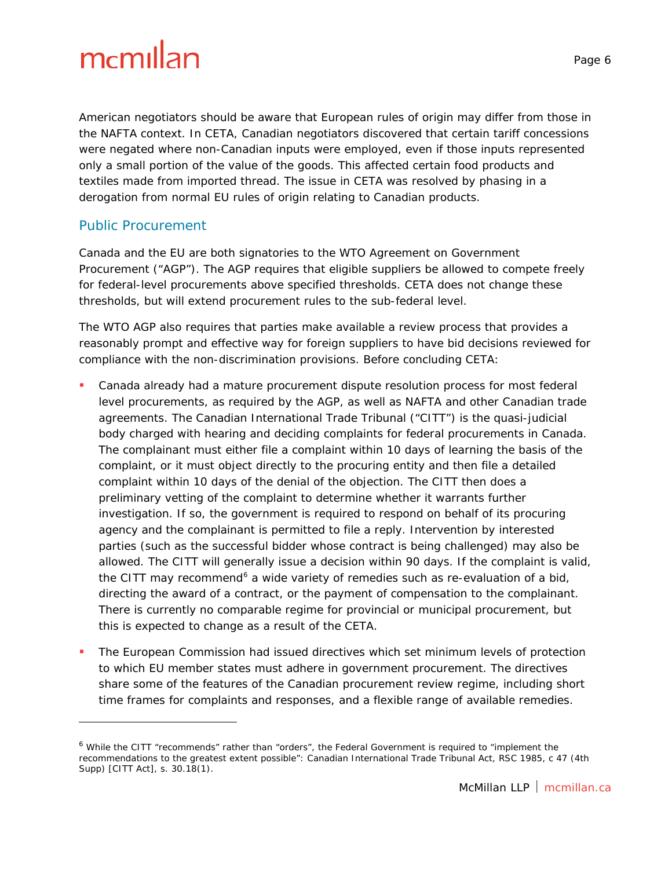American negotiators should be aware that European rules of origin may differ from those in the *NAFTA* context. In CETA, Canadian negotiators discovered that certain tariff concessions were negated where non-Canadian inputs were employed, even if those inputs represented only a small portion of the value of the goods. This affected certain food products and textiles made from imported thread. The issue in CETA was resolved by phasing in a derogation from normal EU rules of origin relating to Canadian products.

#### Public Procurement

-

Canada and the EU are both signatories to the WTO Agreement on Government Procurement ("AGP"). The AGP requires that eligible suppliers be allowed to compete freely for federal-level procurements above specified thresholds. CETA does not change these thresholds, but will extend procurement rules to the sub-federal level.

The WTO AGP also requires that parties make available a review process that provides a reasonably prompt and effective way for foreign suppliers to have bid decisions reviewed for compliance with the non-discrimination provisions. Before concluding CETA:

- Canada already had a mature procurement dispute resolution process for most federal level procurements, as required by the AGP, as well as *NAFTA* and other Canadian trade agreements. The Canadian International Trade Tribunal ("CITT") is the quasi-judicial body charged with hearing and deciding complaints for federal procurements in Canada. The complainant must either file a complaint within 10 days of learning the basis of the complaint, or it must object directly to the procuring entity and then file a detailed complaint within 10 days of the denial of the objection. The CITT then does a preliminary vetting of the complaint to determine whether it warrants further investigation. If so, the government is required to respond on behalf of its procuring agency and the complainant is permitted to file a reply. Intervention by interested parties (such as the successful bidder whose contract is being challenged) may also be allowed. The CITT will generally issue a decision within 90 days. If the complaint is valid, the CITT may recommend<sup>[6](#page-5-0)</sup> a wide variety of remedies such as re-evaluation of a bid, directing the award of a contract, or the payment of compensation to the complainant. There is currently no comparable regime for provincial or municipal procurement, but this is expected to change as a result of the CETA.
- The European Commission had issued directives which set minimum levels of protection to which EU member states must adhere in government procurement. The directives share some of the features of the Canadian procurement review regime, including short time frames for complaints and responses, and a flexible range of available remedies.

<span id="page-5-0"></span><sup>&</sup>lt;sup>6</sup> While the CITT "recommends" rather than "orders", the Federal Government is required to "implement the recommendations to the greatest extent possible": *Canadian International Trade Tribunal Act*, RSC 1985, c 47 (4th Supp) [CITT Act], s. 30.18(1).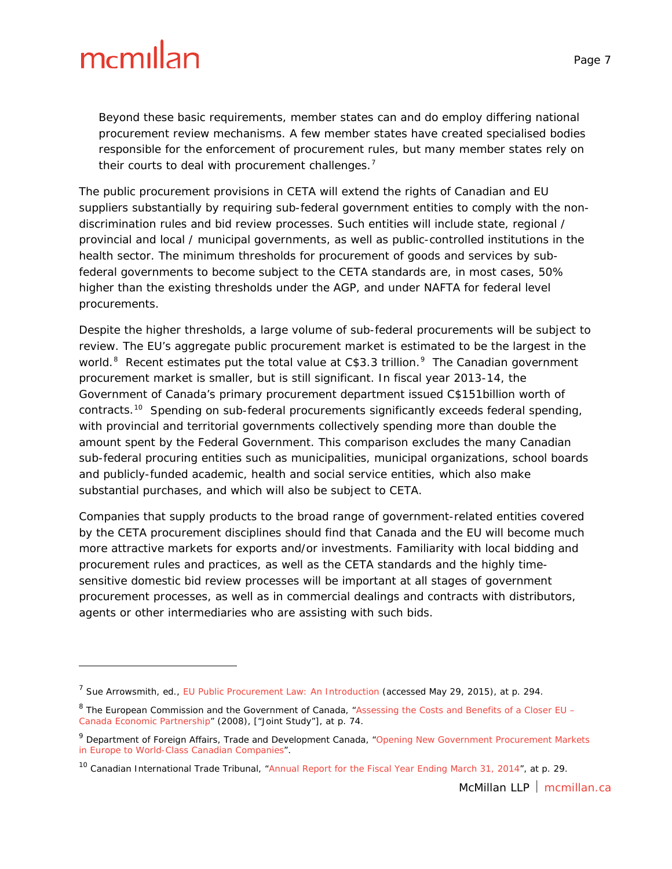i,

Beyond these basic requirements, member states can and do employ differing national procurement review mechanisms. A few member states have created specialised bodies responsible for the enforcement of procurement rules, but many member states rely on their courts to deal with procurement challenges.<sup>[7](#page-6-0)</sup>

The public procurement provisions in CETA will extend the rights of Canadian and EU suppliers substantially by requiring sub-federal government entities to comply with the nondiscrimination rules and bid review processes. Such entities will include state, regional / provincial and local / municipal governments, as well as public-controlled institutions in the health sector. The minimum thresholds for procurement of goods and services by subfederal governments to become subject to the CETA standards are, in most cases, 50% higher than the existing thresholds under the AGP, and under *NAFTA* for federal level procurements.

Despite the higher thresholds, a large volume of sub-federal procurements will be subject to review. The EU's aggregate public procurement market is estimated to be the largest in the world.<sup>[8](#page-6-1)</sup> Recent estimates put the total value at  $C$3.3 trillion.<sup>9</sup>$  $C$3.3 trillion.<sup>9</sup>$  $C$3.3 trillion.<sup>9</sup>$  The Canadian government procurement market is smaller, but is still significant. In fiscal year 2013-14, the Government of Canada's primary procurement department issued C\$151billion worth of contracts.<sup>[10](#page-6-3)</sup> Spending on sub-federal procurements significantly exceeds federal spending, with provincial and territorial governments collectively spending more than double the amount spent by the Federal Government. This comparison excludes the many Canadian sub-federal procuring entities such as municipalities, municipal organizations, school boards and publicly-funded academic, health and social service entities, which also make substantial purchases, and which will also be subject to CETA.

Companies that supply products to the broad range of government-related entities covered by the CETA procurement disciplines should find that Canada and the EU will become much more attractive markets for exports and/or investments. Familiarity with local bidding and procurement rules and practices, as well as the CETA standards and the highly timesensitive domestic bid review processes will be important at all stages of government procurement processes, as well as in commercial dealings and contracts with distributors, agents or other intermediaries who are assisting with such bids.

<span id="page-6-0"></span><sup>7</sup> Sue Arrowsmith, ed., *[EU Public Procurement Law: An Introduction](https://www.nottingham.ac.uk/pprg/documentsarchive/asialinkmaterials/eupublicprocurementlawintroduction.pdf)* (accessed May 29, 2015), at p. 294.

<span id="page-6-1"></span><sup>8</sup> The European Commission and the Government of Canada, "*[Assessing the Costs and Benefits of a Closer EU –](http://trade.ec.europa.eu/doclib/docs/2008/october/tradoc_141032.pdf) [Canada Economic Partnership](http://trade.ec.europa.eu/doclib/docs/2008/october/tradoc_141032.pdf)*" (2008), ["Joint Study"], at p. 74.

<span id="page-6-2"></span><sup>9</sup> Department of Foreign Affairs, Trade and Development Canada, "*[Opening New Government Procurement Markets](http://www.international.gc.ca/trade-agreements-accords-commerciaux/agr-acc/ceta-aecg/benefits-avantages/procurement-approvisionnement.aspx?lang=eng)  [in Europe to World-Class Canadian Companies](http://www.international.gc.ca/trade-agreements-accords-commerciaux/agr-acc/ceta-aecg/benefits-avantages/procurement-approvisionnement.aspx?lang=eng)*".

<span id="page-6-3"></span><sup>10</sup> Canadian International Trade Tribunal, "*[Annual Report for the Fiscal Year Ending March 31, 2014](http://www.citt.gc.ca/sites/default/files/ar2o_e_0.pdf)*", at p. 29.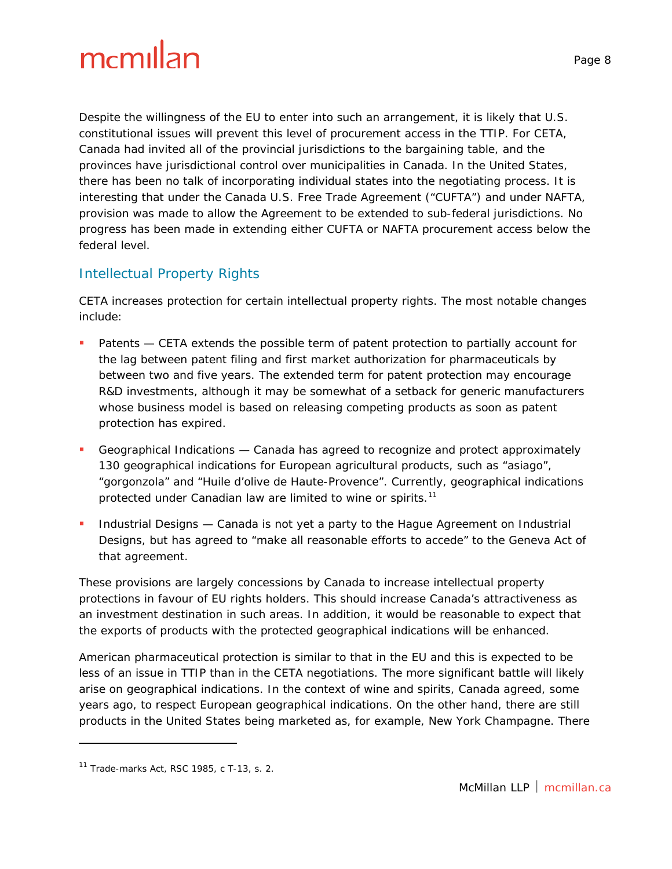Despite the willingness of the EU to enter into such an arrangement, it is likely that U.S. constitutional issues will prevent this level of procurement access in the TTIP. For CETA, Canada had invited all of the provincial jurisdictions to the bargaining table, and the provinces have jurisdictional control over municipalities in Canada. In the United States, there has been no talk of incorporating individual states into the negotiating process. It is interesting that under the *Canada U.S. Free Trade Agreement* ("*CUFTA*") and under *NAFTA*, provision was made to allow the Agreement to be extended to sub-federal jurisdictions. No progress has been made in extending either *CUFTA* or *NAFTA* procurement access below the federal level.

#### Intellectual Property Rights

CETA increases protection for certain intellectual property rights. The most notable changes include:

- Patents *—* CETA extends the possible term of patent protection to partially account for the lag between patent filing and first market authorization for pharmaceuticals by between two and five years. The extended term for patent protection may encourage R&D investments, although it may be somewhat of a setback for generic manufacturers whose business model is based on releasing competing products as soon as patent protection has expired.
- Geographical Indications Canada has agreed to recognize and protect approximately 130 geographical indications for European agricultural products, such as "asiago", "gorgonzola" and "Huile d'olive de Haute-Provence". Currently, geographical indications protected under Canadian law are limited to wine or spirits.<sup>[11](#page-7-0)</sup>
- Industrial Designs Canada is not yet a party to the *Hague Agreement on Industrial Designs*, but has agreed to "make all reasonable efforts to accede" to the Geneva Act of that agreement.

These provisions are largely concessions by Canada to increase intellectual property protections in favour of EU rights holders. This should increase Canada's attractiveness as an investment destination in such areas. In addition, it would be reasonable to expect that the exports of products with the protected geographical indications will be enhanced.

American pharmaceutical protection is similar to that in the EU and this is expected to be less of an issue in TTIP than in the CETA negotiations. The more significant battle will likely arise on geographical indications. In the context of wine and spirits, Canada agreed, some years ago, to respect European geographical indications. On the other hand, there are still products in the United States being marketed as, for example, New York Champagne. There

i,

<span id="page-7-0"></span><sup>11</sup> *Trade-marks Act*, RSC 1985, c T-13, s. 2.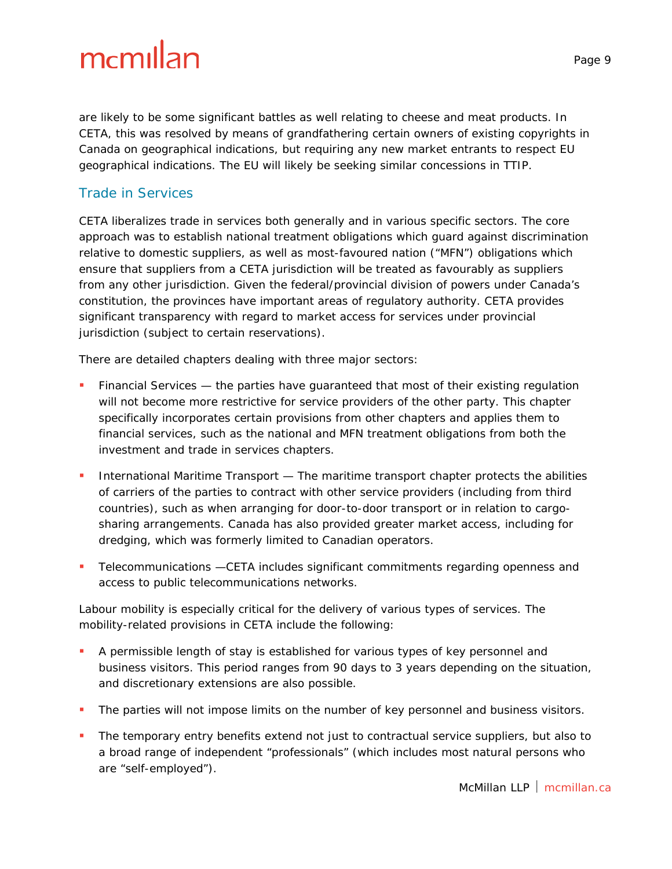are likely to be some significant battles as well relating to cheese and meat products. In CETA, this was resolved by means of grandfathering certain owners of existing copyrights in Canada on geographical indications, but requiring any new market entrants to respect EU geographical indications. The EU will likely be seeking similar concessions in TTIP.

#### Trade in Services

CETA liberalizes trade in services both generally and in various specific sectors. The core approach was to establish national treatment obligations which guard against discrimination relative to domestic suppliers, as well as most-favoured nation ("MFN") obligations which ensure that suppliers from a CETA jurisdiction will be treated as favourably as suppliers from any other jurisdiction. Given the federal/provincial division of powers under Canada's constitution, the provinces have important areas of regulatory authority. CETA provides significant transparency with regard to market access for services under provincial jurisdiction (subject to certain reservations).

There are detailed chapters dealing with three major sectors:

- Financial Services the parties have guaranteed that most of their existing regulation will not become more restrictive for service providers of the other party. This chapter specifically incorporates certain provisions from other chapters and applies them to financial services, such as the national and MFN treatment obligations from both the investment and trade in services chapters.
- **International Maritime Transport The maritime transport chapter protects the abilities** of carriers of the parties to contract with other service providers (including from third countries), such as when arranging for door-to-door transport or in relation to cargosharing arrangements. Canada has also provided greater market access, including for dredging, which was formerly limited to Canadian operators.
- Telecommunications —CETA includes significant commitments regarding openness and access to public telecommunications networks.

Labour mobility is especially critical for the delivery of various types of services. The mobility-related provisions in CETA include the following:

- A permissible length of stay is established for various types of key personnel and business visitors. This period ranges from 90 days to 3 years depending on the situation, and discretionary extensions are also possible.
- **The parties will not impose limits on the number of key personnel and business visitors.**
- The temporary entry benefits extend not just to contractual service suppliers, but also to a broad range of independent "professionals" (which includes most natural persons who are "self-employed").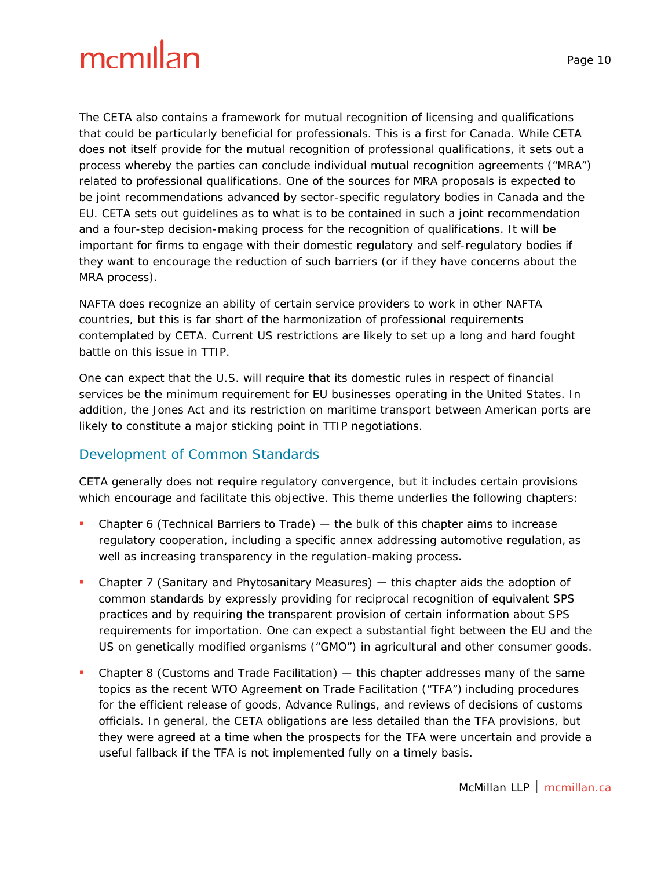The CETA also contains a framework for mutual recognition of licensing and qualifications that could be particularly beneficial for professionals. This is a first for Canada. While CETA does not itself provide for the mutual recognition of professional qualifications, it sets out a process whereby the parties can conclude individual mutual recognition agreements ("MRA") related to professional qualifications. One of the sources for MRA proposals is expected to be joint recommendations advanced by sector-specific regulatory bodies in Canada and the EU. CETA sets out guidelines as to what is to be contained in such a joint recommendation and a four-step decision-making process for the recognition of qualifications. It will be important for firms to engage with their domestic regulatory and self-regulatory bodies if they want to encourage the reduction of such barriers (or if they have concerns about the MRA process).

*NAFTA* does recognize an ability of certain service providers to work in other *NAFTA* countries, but this is far short of the harmonization of professional requirements contemplated by CETA. Current US restrictions are likely to set up a long and hard fought battle on this issue in TTIP.

One can expect that the U.S. will require that its domestic rules in respect of financial services be the minimum requirement for EU businesses operating in the United States. In addition, the *Jones Act* and its restriction on maritime transport between American ports are likely to constitute a major sticking point in TTIP negotiations.

#### Development of Common Standards

CETA generally does not require regulatory convergence, but it includes certain provisions which encourage and facilitate this objective. This theme underlies the following chapters:

- Chapter 6 (Technical Barriers to Trade)  $-$  the bulk of this chapter aims to increase regulatory cooperation, including a specific annex addressing automotive regulation, as well as increasing transparency in the regulation-making process.
- Chapter 7 (Sanitary and Phytosanitary Measures) ― this chapter aids the adoption of common standards by expressly providing for reciprocal recognition of equivalent SPS practices and by requiring the transparent provision of certain information about SPS requirements for importation. One can expect a substantial fight between the EU and the US on genetically modified organisms ("GMO") in agricultural and other consumer goods.
- Chapter 8 (Customs and Trade Facilitation)  $-$  this chapter addresses many of the same topics as the recent WTO *Agreement on Trade Facilitation* ("TFA") including procedures for the efficient release of goods, Advance Rulings, and reviews of decisions of customs officials. In general, the CETA obligations are less detailed than the TFA provisions, but they were agreed at a time when the prospects for the TFA were uncertain and provide a useful fallback if the TFA is not implemented fully on a timely basis.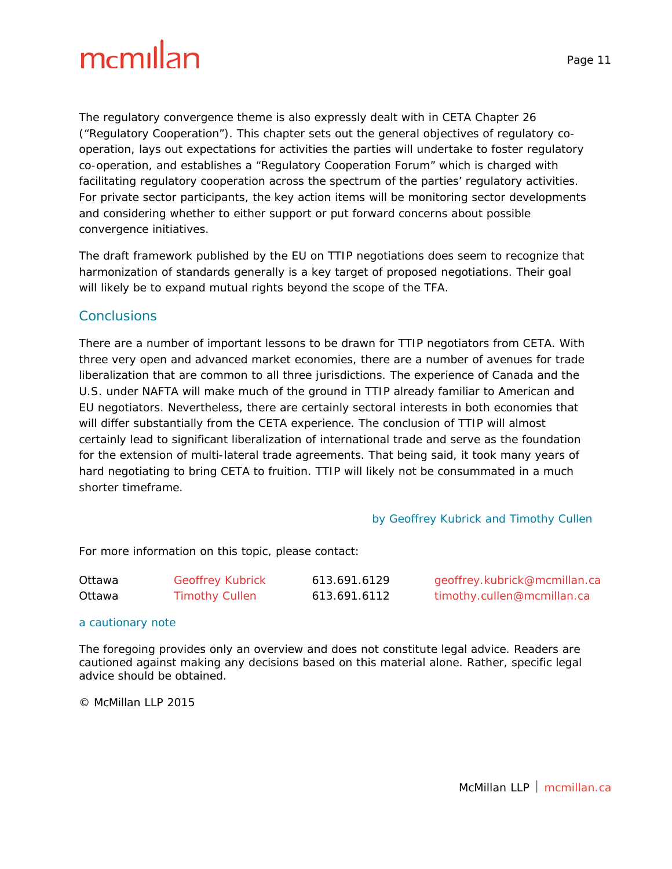The regulatory convergence theme is also expressly dealt with in CETA Chapter 26 ("Regulatory Cooperation"). This chapter sets out the general objectives of regulatory cooperation, lays out expectations for activities the parties will undertake to foster regulatory co-operation, and establishes a "Regulatory Cooperation Forum" which is charged with facilitating regulatory cooperation across the spectrum of the parties' regulatory activities. For private sector participants, the key action items will be monitoring sector developments and considering whether to either support or put forward concerns about possible convergence initiatives.

The draft framework published by the EU on TTIP negotiations does seem to recognize that harmonization of standards generally is a key target of proposed negotiations. Their goal will likely be to expand mutual rights beyond the scope of the TFA.

#### **Conclusions**

There are a number of important lessons to be drawn for TTIP negotiators from CETA. With three very open and advanced market economies, there are a number of avenues for trade liberalization that are common to all three jurisdictions. The experience of Canada and the U.S. under *NAFTA* will make much of the ground in TTIP already familiar to American and EU negotiators. Nevertheless, there are certainly sectoral interests in both economies that will differ substantially from the CETA experience. The conclusion of TTIP will almost certainly lead to significant liberalization of international trade and serve as the foundation for the extension of multi-lateral trade agreements. That being said, it took many years of hard negotiating to bring CETA to fruition. TTIP will likely not be consummated in a much shorter timeframe.

#### by Geoffrey Kubrick and Timothy Cullen

For more information on this topic, please contact:

| Ottawa | <b>Geoffrey Kubrick</b> | 613.691.6129 | geoffrey.kubrick@mcmillan.ca |
|--------|-------------------------|--------------|------------------------------|
| Ottawa | <b>Timothy Cullen</b>   | 613.691.6112 | timothy.cullen@mcmillan.ca   |

#### a cautionary note

The foregoing provides only an overview and does not constitute legal advice. Readers are cautioned against making any decisions based on this material alone. Rather, specific legal advice should be obtained.

© McMillan LLP 2015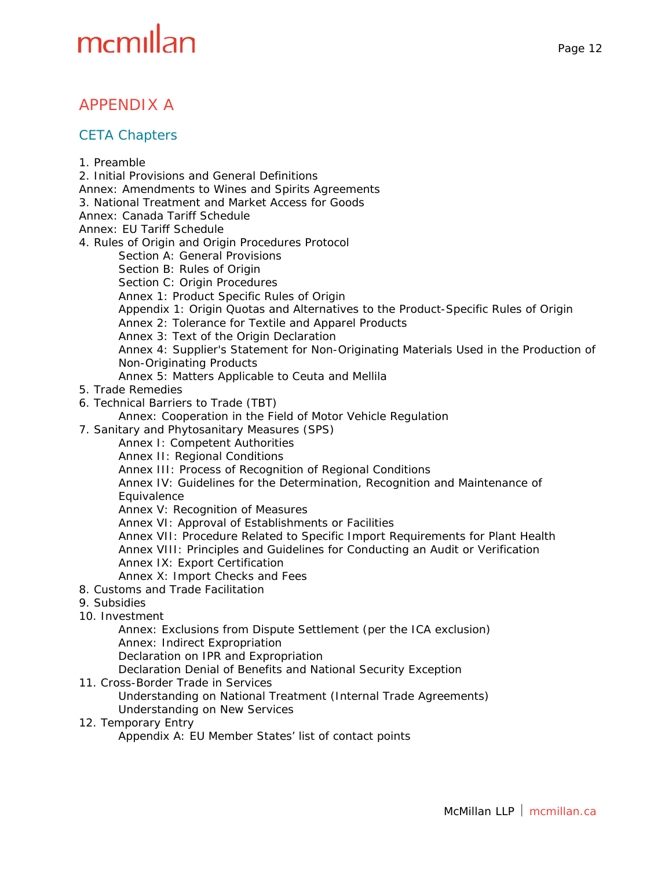#### APPENDIX A

#### CETA Chapters

1. Preamble 2. Initial Provisions and General Definitions Annex: Amendments to Wines and Spirits Agreements 3. National Treatment and Market Access for Goods Annex: Canada Tariff Schedule Annex: EU Tariff Schedule 4. Rules of Origin and Origin Procedures Protocol Section A: General Provisions Section B: Rules of Origin Section C: Origin Procedures Annex 1: Product Specific Rules of Origin Appendix 1: Origin Quotas and Alternatives to the Product-Specific Rules of Origin Annex 2: Tolerance for Textile and Apparel Products Annex 3: Text of the Origin Declaration Annex 4: Supplier's Statement for Non-Originating Materials Used in the Production of Non-Originating Products Annex 5: Matters Applicable to Ceuta and Mellila 5. Trade Remedies 6. Technical Barriers to Trade (TBT) Annex: Cooperation in the Field of Motor Vehicle Regulation 7. Sanitary and Phytosanitary Measures (SPS) Annex I: Competent Authorities Annex II: Regional Conditions Annex III: Process of Recognition of Regional Conditions Annex IV: Guidelines for the Determination, Recognition and Maintenance of **Equivalence** Annex V: Recognition of Measures Annex VI: Approval of Establishments or Facilities Annex VII: Procedure Related to Specific Import Requirements for Plant Health Annex VIII: Principles and Guidelines for Conducting an Audit or Verification Annex IX: Export Certification Annex X: Import Checks and Fees 8. Customs and Trade Facilitation 9. Subsidies 10. Investment Annex: Exclusions from Dispute Settlement (per the ICA exclusion) Annex: Indirect Expropriation Declaration on IPR and Expropriation Declaration Denial of Benefits and National Security Exception 11. Cross-Border Trade in Services Understanding on National Treatment (Internal Trade Agreements) Understanding on New Services 12. Temporary Entry Appendix A: EU Member States' list of contact points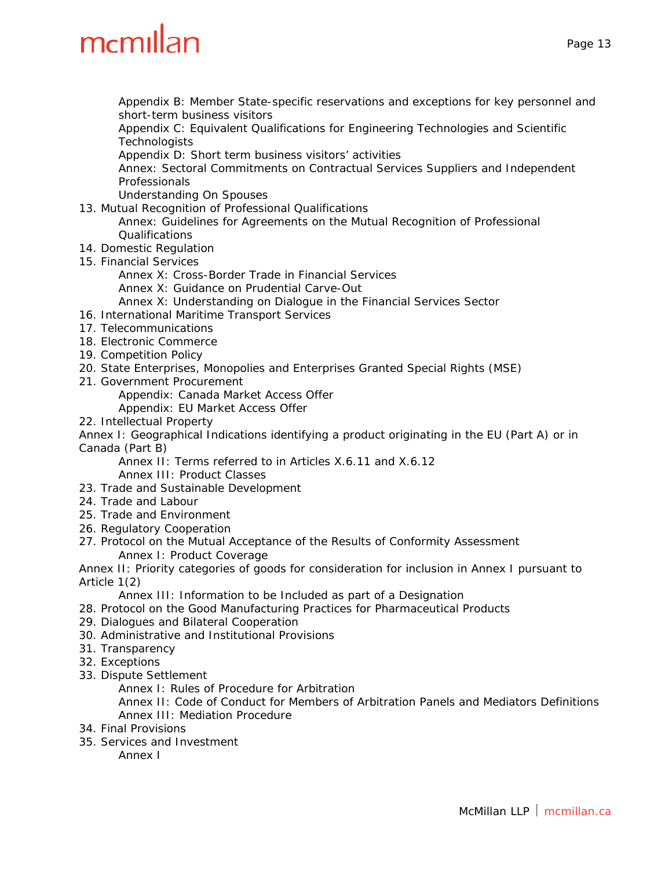Appendix B: Member State-specific reservations and exceptions for key personnel and short-term business visitors

Appendix C: Equivalent Qualifications for Engineering Technologies and Scientific **Technologists** 

Appendix D: Short term business visitors' activities

Annex: Sectoral Commitments on Contractual Services Suppliers and Independent Professionals

Understanding On Spouses

13. Mutual Recognition of Professional Qualifications

Annex: Guidelines for Agreements on the Mutual Recognition of Professional Qualifications

- 14. Domestic Regulation
- 15. Financial Services
	- Annex X: Cross-Border Trade in Financial Services

Annex X: Guidance on Prudential Carve-Out

- Annex X: Understanding on Dialogue in the Financial Services Sector
- 16. International Maritime Transport Services
- 17. Telecommunications
- 18. Electronic Commerce
- 19. Competition Policy
- 20. State Enterprises, Monopolies and Enterprises Granted Special Rights (MSE)
- 21. Government Procurement

Appendix: Canada Market Access Offer

Appendix: EU Market Access Offer

22. Intellectual Property

Annex I: Geographical Indications identifying a product originating in the EU (Part A) or in Canada (Part B)

Annex II: Terms referred to in Articles X.6.11 and X.6.12

Annex III: Product Classes

- 23. Trade and Sustainable Development
- 24. Trade and Labour
- 25. Trade and Environment
- 26. Regulatory Cooperation
- 27. Protocol on the Mutual Acceptance of the Results of Conformity Assessment Annex I: Product Coverage

Annex II: Priority categories of goods for consideration for inclusion in Annex I pursuant to Article 1(2)

Annex III: Information to be Included as part of a Designation

- 28. Protocol on the Good Manufacturing Practices for Pharmaceutical Products
- 29. Dialogues and Bilateral Cooperation
- 30. Administrative and Institutional Provisions
- 31. Transparency
- 32. Exceptions
- 33. Dispute Settlement

Annex I: Rules of Procedure for Arbitration

Annex II: Code of Conduct for Members of Arbitration Panels and Mediators Definitions Annex III: Mediation Procedure

- 34. Final Provisions
- 35. Services and Investment

Annex I